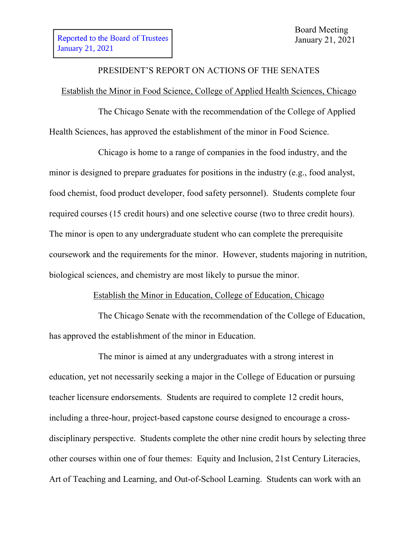# PRESIDENT'S REPORT ON ACTIONS OF THE SENATES

#### Establish the Minor in Food Science, College of Applied Health Sciences, Chicago

The Chicago Senate with the recommendation of the College of Applied Health Sciences, has approved the establishment of the minor in Food Science.

Chicago is home to a range of companies in the food industry, and the minor is designed to prepare graduates for positions in the industry (e.g., food analyst, food chemist, food product developer, food safety personnel). Students complete four required courses (15 credit hours) and one selective course (two to three credit hours). The minor is open to any undergraduate student who can complete the prerequisite coursework and the requirements for the minor. However, students majoring in nutrition, biological sciences, and chemistry are most likely to pursue the minor.

### Establish the Minor in Education, College of Education, Chicago

The Chicago Senate with the recommendation of the College of Education, has approved the establishment of the minor in Education.

The minor is aimed at any undergraduates with a strong interest in education, yet not necessarily seeking a major in the College of Education or pursuing teacher licensure endorsements. Students are required to complete 12 credit hours, including a three-hour, project-based capstone course designed to encourage a crossdisciplinary perspective. Students complete the other nine credit hours by selecting three other courses within one of four themes: Equity and Inclusion, 21st Century Literacies, Art of Teaching and Learning, and Out-of-School Learning. Students can work with an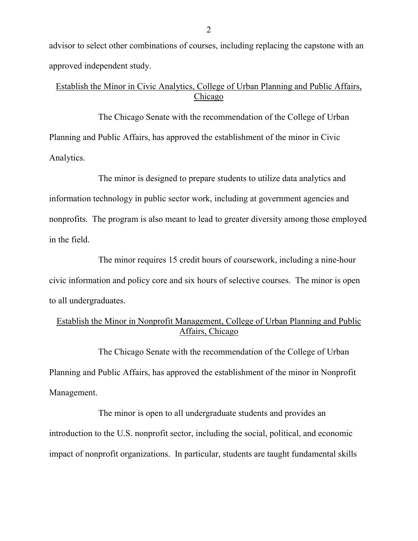advisor to select other combinations of courses, including replacing the capstone with an approved independent study.

## Establish the Minor in Civic Analytics, College of Urban Planning and Public Affairs, Chicago

The Chicago Senate with the recommendation of the College of Urban Planning and Public Affairs, has approved the establishment of the minor in Civic Analytics.

The minor is designed to prepare students to utilize data analytics and information technology in public sector work, including at government agencies and nonprofits. The program is also meant to lead to greater diversity among those employed in the field.

The minor requires 15 credit hours of coursework, including a nine-hour civic information and policy core and six hours of selective courses. The minor is open to all undergraduates.

## Establish the Minor in Nonprofit Management, College of Urban Planning and Public Affairs, Chicago

The Chicago Senate with the recommendation of the College of Urban Planning and Public Affairs, has approved the establishment of the minor in Nonprofit Management.

The minor is open to all undergraduate students and provides an introduction to the U.S. nonprofit sector, including the social, political, and economic impact of nonprofit organizations. In particular, students are taught fundamental skills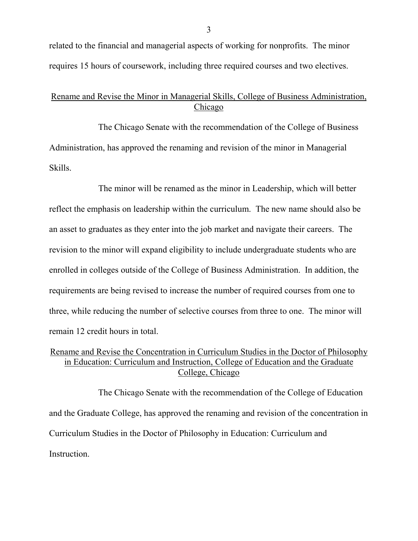related to the financial and managerial aspects of working for nonprofits. The minor requires 15 hours of coursework, including three required courses and two electives.

#### Rename and Revise the Minor in Managerial Skills, College of Business Administration, Chicago

The Chicago Senate with the recommendation of the College of Business Administration, has approved the renaming and revision of the minor in Managerial Skills.

The minor will be renamed as the minor in Leadership, which will better reflect the emphasis on leadership within the curriculum. The new name should also be an asset to graduates as they enter into the job market and navigate their careers. The revision to the minor will expand eligibility to include undergraduate students who are enrolled in colleges outside of the College of Business Administration. In addition, the requirements are being revised to increase the number of required courses from one to three, while reducing the number of selective courses from three to one. The minor will remain 12 credit hours in total.

## Rename and Revise the Concentration in Curriculum Studies in the Doctor of Philosophy in Education: Curriculum and Instruction, College of Education and the Graduate College, Chicago

The Chicago Senate with the recommendation of the College of Education and the Graduate College, has approved the renaming and revision of the concentration in Curriculum Studies in the Doctor of Philosophy in Education: Curriculum and Instruction.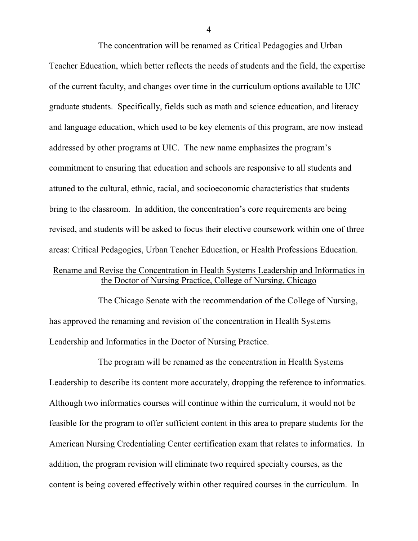The concentration will be renamed as Critical Pedagogies and Urban Teacher Education, which better reflects the needs of students and the field, the expertise of the current faculty, and changes over time in the curriculum options available to UIC graduate students. Specifically, fields such as math and science education, and literacy and language education, which used to be key elements of this program, are now instead addressed by other programs at UIC. The new name emphasizes the program's commitment to ensuring that education and schools are responsive to all students and attuned to the cultural, ethnic, racial, and socioeconomic characteristics that students bring to the classroom. In addition, the concentration's core requirements are being revised, and students will be asked to focus their elective coursework within one of three areas: Critical Pedagogies, Urban Teacher Education, or Health Professions Education.

### Rename and Revise the Concentration in Health Systems Leadership and Informatics in the Doctor of Nursing Practice, College of Nursing, Chicago

The Chicago Senate with the recommendation of the College of Nursing, has approved the renaming and revision of the concentration in Health Systems Leadership and Informatics in the Doctor of Nursing Practice.

The program will be renamed as the concentration in Health Systems Leadership to describe its content more accurately, dropping the reference to informatics. Although two informatics courses will continue within the curriculum, it would not be feasible for the program to offer sufficient content in this area to prepare students for the American Nursing Credentialing Center certification exam that relates to informatics. In addition, the program revision will eliminate two required specialty courses, as the content is being covered effectively within other required courses in the curriculum. In

4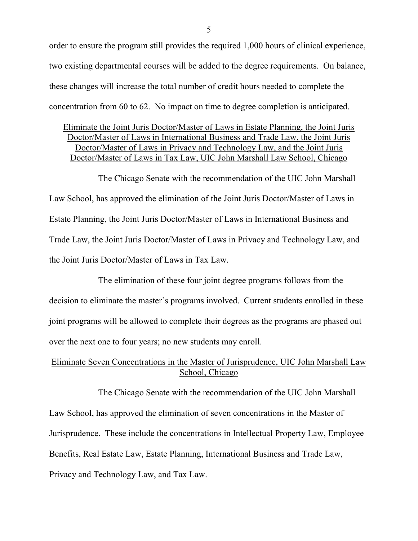order to ensure the program still provides the required 1,000 hours of clinical experience, two existing departmental courses will be added to the degree requirements. On balance, these changes will increase the total number of credit hours needed to complete the concentration from 60 to 62. No impact on time to degree completion is anticipated.

Eliminate the Joint Juris Doctor/Master of Laws in Estate Planning, the Joint Juris Doctor/Master of Laws in International Business and Trade Law, the Joint Juris Doctor/Master of Laws in Privacy and Technology Law, and the Joint Juris Doctor/Master of Laws in Tax Law, UIC John Marshall Law School, Chicago

The Chicago Senate with the recommendation of the UIC John Marshall Law School, has approved the elimination of the Joint Juris Doctor/Master of Laws in Estate Planning, the Joint Juris Doctor/Master of Laws in International Business and Trade Law, the Joint Juris Doctor/Master of Laws in Privacy and Technology Law, and the Joint Juris Doctor/Master of Laws in Tax Law.

The elimination of these four joint degree programs follows from the decision to eliminate the master's programs involved. Current students enrolled in these joint programs will be allowed to complete their degrees as the programs are phased out over the next one to four years; no new students may enroll.

## Eliminate Seven Concentrations in the Master of Jurisprudence, UIC John Marshall Law School, Chicago

The Chicago Senate with the recommendation of the UIC John Marshall Law School, has approved the elimination of seven concentrations in the Master of Jurisprudence. These include the concentrations in Intellectual Property Law, Employee Benefits, Real Estate Law, Estate Planning, International Business and Trade Law, Privacy and Technology Law, and Tax Law.